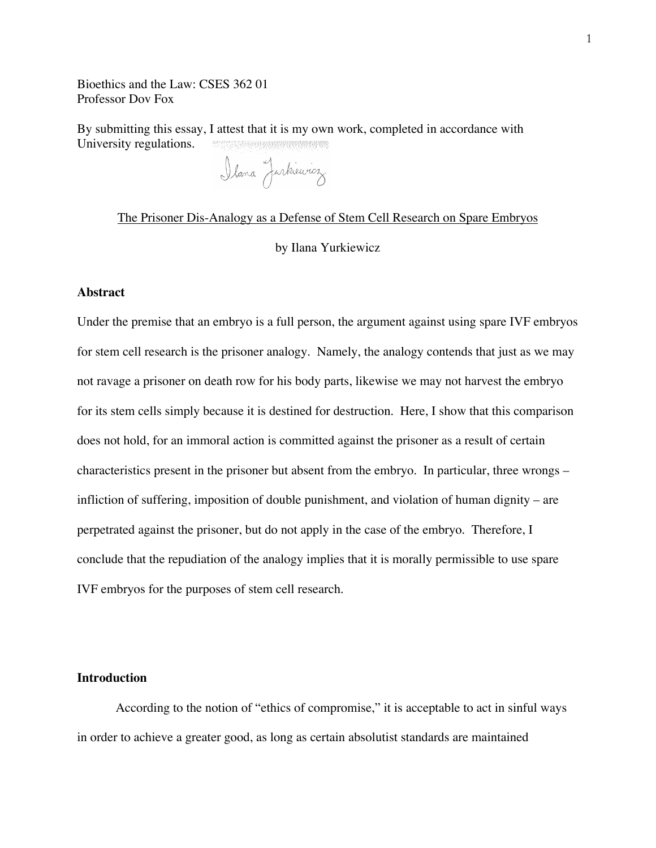Bioethics and the Law: CSES 362 01 Professor Dov Fox

By submitting this essay, I attest that it is my own work, completed in accordance with  $\label{eq:3.1} \begin{split} \mathcal{L}^{(1)}_{\mathcal{L}}(\mathcal{L}^{(1)}) = \mathcal{L}^{(1)}_{\mathcal{L}}(\mathcal{L}^{(1)}) = \mathcal{L}^{(1)}_{\mathcal{L}}(\mathcal{L}^{(1)}) = \mathcal{L}^{(1)}_{\mathcal{L}}(\mathcal{L}^{(1)}) = \mathcal{L}^{(1)}_{\mathcal{L}}(\mathcal{L}^{(1)}) = \mathcal{L}^{(1)}_{\mathcal{L}}(\mathcal{L}^{(1)}) = \mathcal{L}^{(1)}_{\mathcal{L}}(\mathcal{L}^{(1)}) = \mathcal{L}^{(1)}$ University regulations.

Ilana Jurkiewicz

# The Prisoner Dis-Analogy as a Defense of Stem Cell Research on Spare Embryos by Ilana Yurkiewicz

#### **Abstract**

Under the premise that an embryo is a full person, the argument against using spare IVF embryos for stem cell research is the prisoner analogy. Namely, the analogy contends that just as we may not ravage a prisoner on death row for his body parts, likewise we may not harvest the embryo for its stem cells simply because it is destined for destruction. Here, I show that this comparison does not hold, for an immoral action is committed against the prisoner as a result of certain characteristics present in the prisoner but absent from the embryo. In particular, three wrongs – infliction of suffering, imposition of double punishment, and violation of human dignity – are perpetrated against the prisoner, but do not apply in the case of the embryo. Therefore, I conclude that the repudiation of the analogy implies that it is morally permissible to use spare IVF embryos for the purposes of stem cell research.

## **Introduction**

According to the notion of "ethics of compromise," it is acceptable to act in sinful ways in order to achieve a greater good, as long as certain absolutist standards are maintained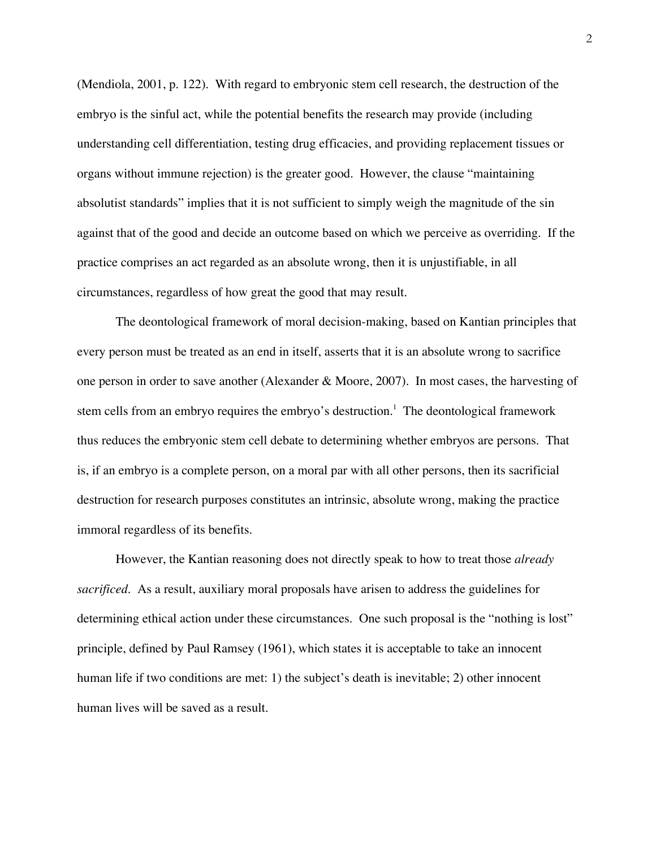(Mendiola, 2001, p. 122). With regard to embryonic stem cell research, the destruction of the embryo is the sinful act, while the potential benefits the research may provide (including understanding cell differentiation, testing drug efficacies, and providing replacement tissues or organs without immune rejection) is the greater good. However, the clause "maintaining absolutist standards" implies that it is not sufficient to simply weigh the magnitude of the sin against that of the good and decide an outcome based on which we perceive as overriding. If the practice comprises an act regarded as an absolute wrong, then it is unjustifiable, in all circumstances, regardless of how great the good that may result.

The deontological framework of moral decision-making, based on Kantian principles that every person must be treated as an end in itself, asserts that it is an absolute wrong to sacrifice one person in order to save another (Alexander & Moore, 2007). In most cases, the harvesting of stem cells from an embryo requires the embryo's destruction.<sup>1</sup> The deontological framework thus reduces the embryonic stem cell debate to determining whether embryos are persons. That is, if an embryo is a complete person, on a moral par with all other persons, then its sacrificial destruction for research purposes constitutes an intrinsic, absolute wrong, making the practice immoral regardless of its benefits.

However, the Kantian reasoning does not directly speak to how to treat those *already sacrificed*. As a result, auxiliary moral proposals have arisen to address the guidelines for determining ethical action under these circumstances. One such proposal is the "nothing is lost" principle, defined by Paul Ramsey (1961), which states it is acceptable to take an innocent human life if two conditions are met: 1) the subject's death is inevitable; 2) other innocent human lives will be saved as a result.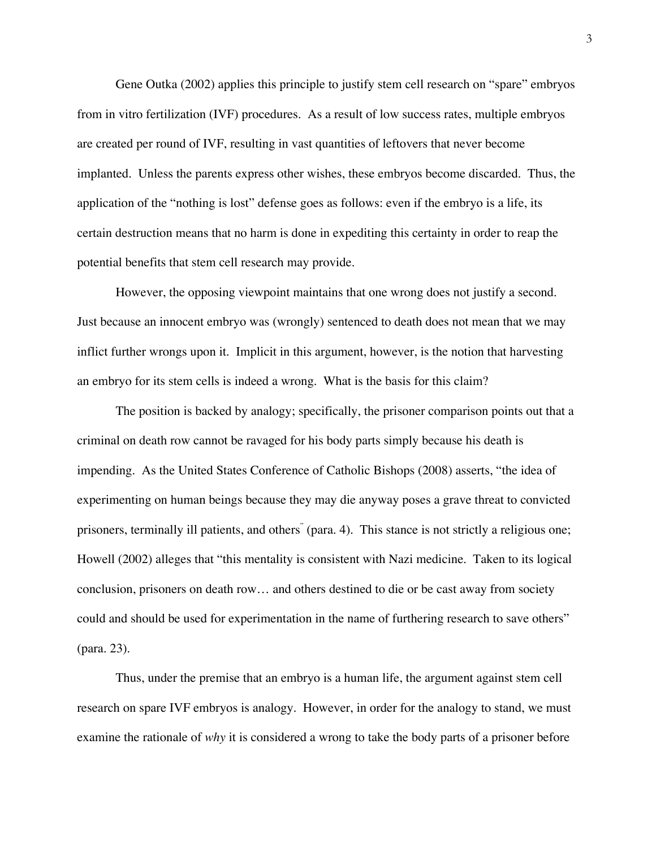Gene Outka (2002) applies this principle to justify stem cell research on "spare" embryos from in vitro fertilization (IVF) procedures. As a result of low success rates, multiple embryos are created per round of IVF, resulting in vast quantities of leftovers that never become implanted. Unless the parents express other wishes, these embryos become discarded. Thus, the application of the "nothing is lost" defense goes as follows: even if the embryo is a life, its certain destruction means that no harm is done in expediting this certainty in order to reap the potential benefits that stem cell research may provide.

However, the opposing viewpoint maintains that one wrong does not justify a second. Just because an innocent embryo was (wrongly) sentenced to death does not mean that we may inflict further wrongs upon it. Implicit in this argument, however, is the notion that harvesting an embryo for its stem cells is indeed a wrong. What is the basis for this claim?

The position is backed by analogy; specifically, the prisoner comparison points out that a criminal on death row cannot be ravaged for his body parts simply because his death is impending. As the United States Conference of Catholic Bishops (2008) asserts, "the idea of experimenting on human beings because they may die anyway poses a grave threat to convicted prisoners, terminally ill patients, and others" (para. 4). This stance is not strictly a religious one; Howell (2002) alleges that "this mentality is consistent with Nazi medicine. Taken to its logical conclusion, prisoners on death row… and others destined to die or be cast away from society could and should be used for experimentation in the name of furthering research to save others" (para. 23).

Thus, under the premise that an embryo is a human life, the argument against stem cell research on spare IVF embryos is analogy. However, in order for the analogy to stand, we must examine the rationale of *why* it is considered a wrong to take the body parts of a prisoner before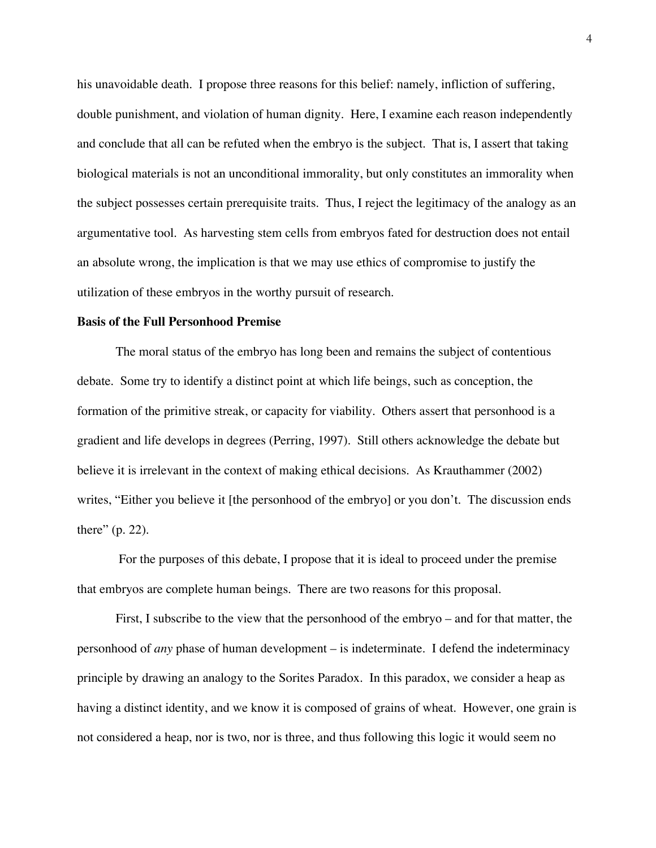his unavoidable death. I propose three reasons for this belief: namely, infliction of suffering, double punishment, and violation of human dignity. Here, I examine each reason independently and conclude that all can be refuted when the embryo is the subject. That is, I assert that taking biological materials is not an unconditional immorality, but only constitutes an immorality when the subject possesses certain prerequisite traits. Thus, I reject the legitimacy of the analogy as an argumentative tool. As harvesting stem cells from embryos fated for destruction does not entail an absolute wrong, the implication is that we may use ethics of compromise to justify the utilization of these embryos in the worthy pursuit of research.

#### **Basis of the Full Personhood Premise**

The moral status of the embryo has long been and remains the subject of contentious debate. Some try to identify a distinct point at which life beings, such as conception, the formation of the primitive streak, or capacity for viability. Others assert that personhood is a gradient and life develops in degrees (Perring, 1997). Still others acknowledge the debate but believe it is irrelevant in the context of making ethical decisions. As Krauthammer (2002) writes, "Either you believe it [the personhood of the embryo] or you don't. The discussion ends there" (p. 22).

 For the purposes of this debate, I propose that it is ideal to proceed under the premise that embryos are complete human beings. There are two reasons for this proposal.

First, I subscribe to the view that the personhood of the embryo – and for that matter, the personhood of *any* phase of human development – is indeterminate. I defend the indeterminacy principle by drawing an analogy to the Sorites Paradox. In this paradox, we consider a heap as having a distinct identity, and we know it is composed of grains of wheat. However, one grain is not considered a heap, nor is two, nor is three, and thus following this logic it would seem no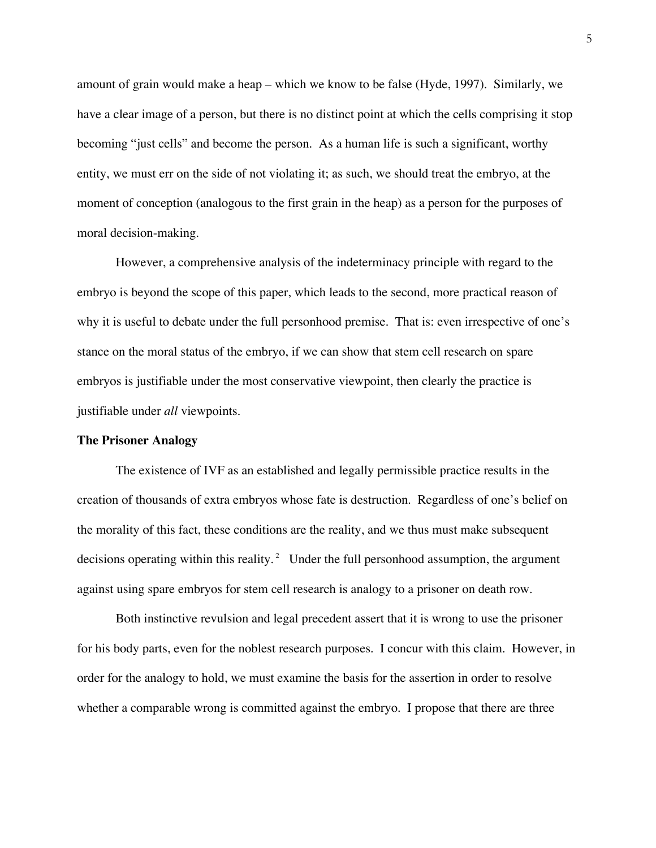amount of grain would make a heap – which we know to be false (Hyde, 1997). Similarly, we have a clear image of a person, but there is no distinct point at which the cells comprising it stop becoming "just cells" and become the person. As a human life is such a significant, worthy entity, we must err on the side of not violating it; as such, we should treat the embryo, at the moment of conception (analogous to the first grain in the heap) as a person for the purposes of moral decision-making.

However, a comprehensive analysis of the indeterminacy principle with regard to the embryo is beyond the scope of this paper, which leads to the second, more practical reason of why it is useful to debate under the full personhood premise. That is: even irrespective of one's stance on the moral status of the embryo, if we can show that stem cell research on spare embryos is justifiable under the most conservative viewpoint, then clearly the practice is justifiable under *all* viewpoints.

#### **The Prisoner Analogy**

The existence of IVF as an established and legally permissible practice results in the creation of thousands of extra embryos whose fate is destruction. Regardless of one's belief on the morality of this fact, these conditions are the reality, and we thus must make subsequent decisions operating within this reality.<sup>2</sup> Under the full personhood assumption, the argument against using spare embryos for stem cell research is analogy to a prisoner on death row.

Both instinctive revulsion and legal precedent assert that it is wrong to use the prisoner for his body parts, even for the noblest research purposes. I concur with this claim. However, in order for the analogy to hold, we must examine the basis for the assertion in order to resolve whether a comparable wrong is committed against the embryo. I propose that there are three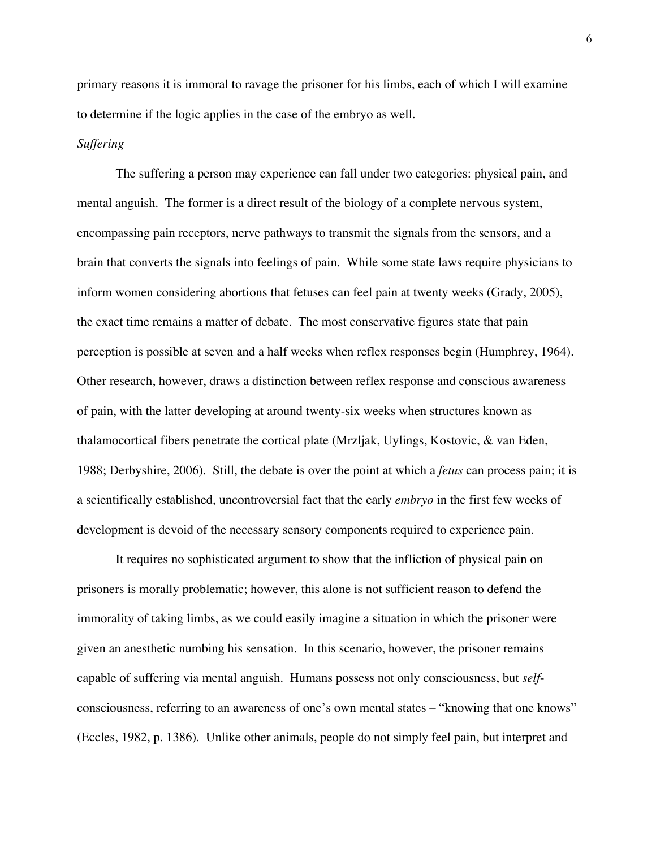primary reasons it is immoral to ravage the prisoner for his limbs, each of which I will examine to determine if the logic applies in the case of the embryo as well.

#### *Suffering*

The suffering a person may experience can fall under two categories: physical pain, and mental anguish. The former is a direct result of the biology of a complete nervous system, encompassing pain receptors, nerve pathways to transmit the signals from the sensors, and a brain that converts the signals into feelings of pain. While some state laws require physicians to inform women considering abortions that fetuses can feel pain at twenty weeks (Grady, 2005), the exact time remains a matter of debate. The most conservative figures state that pain perception is possible at seven and a half weeks when reflex responses begin (Humphrey, 1964). Other research, however, draws a distinction between reflex response and conscious awareness of pain, with the latter developing at around twenty-six weeks when structures known as thalamocortical fibers penetrate the cortical plate (Mrzljak, Uylings, Kostovic, & van Eden, 1988; Derbyshire, 2006). Still, the debate is over the point at which a *fetus* can process pain; it is a scientifically established, uncontroversial fact that the early *embryo* in the first few weeks of development is devoid of the necessary sensory components required to experience pain.

It requires no sophisticated argument to show that the infliction of physical pain on prisoners is morally problematic; however, this alone is not sufficient reason to defend the immorality of taking limbs, as we could easily imagine a situation in which the prisoner were given an anesthetic numbing his sensation. In this scenario, however, the prisoner remains capable of suffering via mental anguish. Humans possess not only consciousness, but *self*consciousness, referring to an awareness of one's own mental states – "knowing that one knows" (Eccles, 1982, p. 1386). Unlike other animals, people do not simply feel pain, but interpret and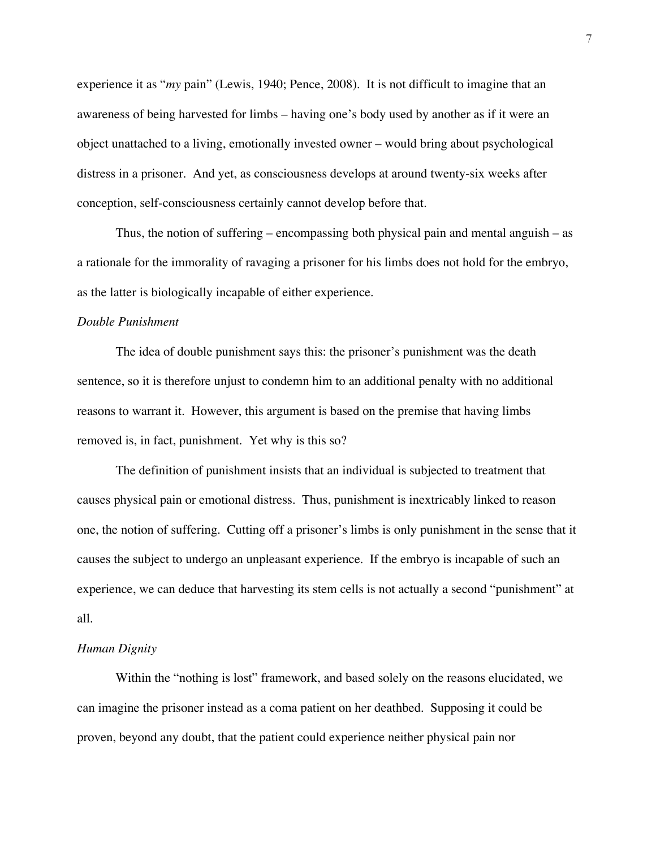experience it as "*my* pain" (Lewis, 1940; Pence, 2008). It is not difficult to imagine that an awareness of being harvested for limbs – having one's body used by another as if it were an object unattached to a living, emotionally invested owner – would bring about psychological distress in a prisoner. And yet, as consciousness develops at around twenty-six weeks after conception, self-consciousness certainly cannot develop before that.

Thus, the notion of suffering – encompassing both physical pain and mental anguish – as a rationale for the immorality of ravaging a prisoner for his limbs does not hold for the embryo, as the latter is biologically incapable of either experience.

#### *Double Punishment*

The idea of double punishment says this: the prisoner's punishment was the death sentence, so it is therefore unjust to condemn him to an additional penalty with no additional reasons to warrant it. However, this argument is based on the premise that having limbs removed is, in fact, punishment. Yet why is this so?

The definition of punishment insists that an individual is subjected to treatment that causes physical pain or emotional distress. Thus, punishment is inextricably linked to reason one, the notion of suffering. Cutting off a prisoner's limbs is only punishment in the sense that it causes the subject to undergo an unpleasant experience. If the embryo is incapable of such an experience, we can deduce that harvesting its stem cells is not actually a second "punishment" at all.

### *Human Dignity*

Within the "nothing is lost" framework, and based solely on the reasons elucidated, we can imagine the prisoner instead as a coma patient on her deathbed. Supposing it could be proven, beyond any doubt, that the patient could experience neither physical pain nor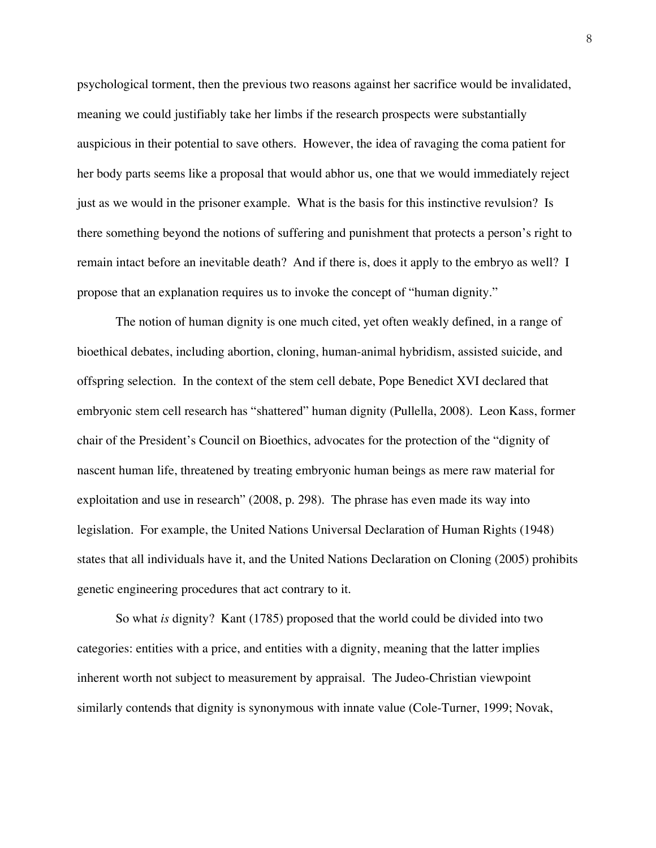psychological torment, then the previous two reasons against her sacrifice would be invalidated, meaning we could justifiably take her limbs if the research prospects were substantially auspicious in their potential to save others. However, the idea of ravaging the coma patient for her body parts seems like a proposal that would abhor us, one that we would immediately reject just as we would in the prisoner example. What is the basis for this instinctive revulsion? Is there something beyond the notions of suffering and punishment that protects a person's right to remain intact before an inevitable death? And if there is, does it apply to the embryo as well? I propose that an explanation requires us to invoke the concept of "human dignity."

The notion of human dignity is one much cited, yet often weakly defined, in a range of bioethical debates, including abortion, cloning, human-animal hybridism, assisted suicide, and offspring selection. In the context of the stem cell debate, Pope Benedict XVI declared that embryonic stem cell research has "shattered" human dignity (Pullella, 2008). Leon Kass, former chair of the President's Council on Bioethics, advocates for the protection of the "dignity of nascent human life, threatened by treating embryonic human beings as mere raw material for exploitation and use in research" (2008, p. 298). The phrase has even made its way into legislation. For example, the United Nations Universal Declaration of Human Rights (1948) states that all individuals have it, and the United Nations Declaration on Cloning (2005) prohibits genetic engineering procedures that act contrary to it.

So what *is* dignity? Kant (1785) proposed that the world could be divided into two categories: entities with a price, and entities with a dignity, meaning that the latter implies inherent worth not subject to measurement by appraisal. The Judeo-Christian viewpoint similarly contends that dignity is synonymous with innate value (Cole-Turner, 1999; Novak,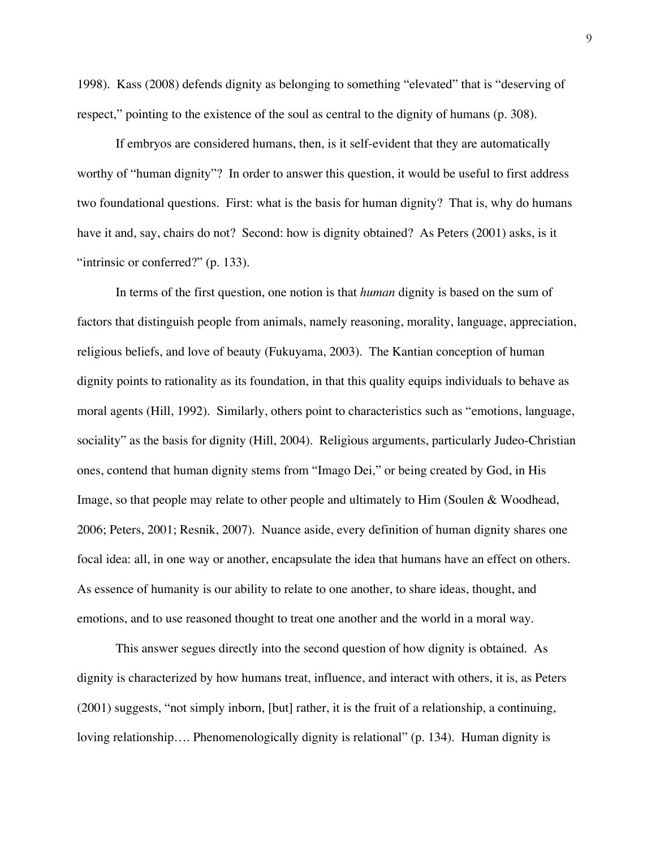1998). Kass (2008) defends dignity as belonging to something "elevated" that is "deserving of respect," pointing to the existence of the soul as central to the dignity of humans (p. 308).

If embryos are considered humans, then, is it self-evident that they are automatically worthy of "human dignity"? In order to answer this question, it would be useful to first address two foundational questions. First: what is the basis for human dignity? That is, why do humans have it and, say, chairs do not? Second: how is dignity obtained? As Peters (2001) asks, is it "intrinsic or conferred?" (p. 133).

In terms of the first question, one notion is that *human* dignity is based on the sum of factors that distinguish people from animals, namely reasoning, morality, language, appreciation, religious beliefs, and love of beauty (Fukuyama, 2003). The Kantian conception of human dignity points to rationality as its foundation, in that this quality equips individuals to behave as moral agents (Hill, 1992). Similarly, others point to characteristics such as "emotions, language, sociality" as the basis for dignity (Hill, 2004). Religious arguments, particularly Judeo-Christian ones, contend that human dignity stems from "Imago Dei," or being created by God, in His Image, so that people may relate to other people and ultimately to Him (Soulen & Woodhead, 2006; Peters, 2001; Resnik, 2007). Nuance aside, every definition of human dignity shares one focal idea: all, in one way or another, encapsulate the idea that humans have an effect on others. As essence of humanity is our ability to relate to one another, to share ideas, thought, and emotions, and to use reasoned thought to treat one another and the world in a moral way.

This answer segues directly into the second question of how dignity is obtained. As dignity is characterized by how humans treat, influence, and interact with others, it is, as Peters (2001) suggests, "not simply inborn, [but] rather, it is the fruit of a relationship, a continuing, loving relationship…. Phenomenologically dignity is relational" (p. 134). Human dignity is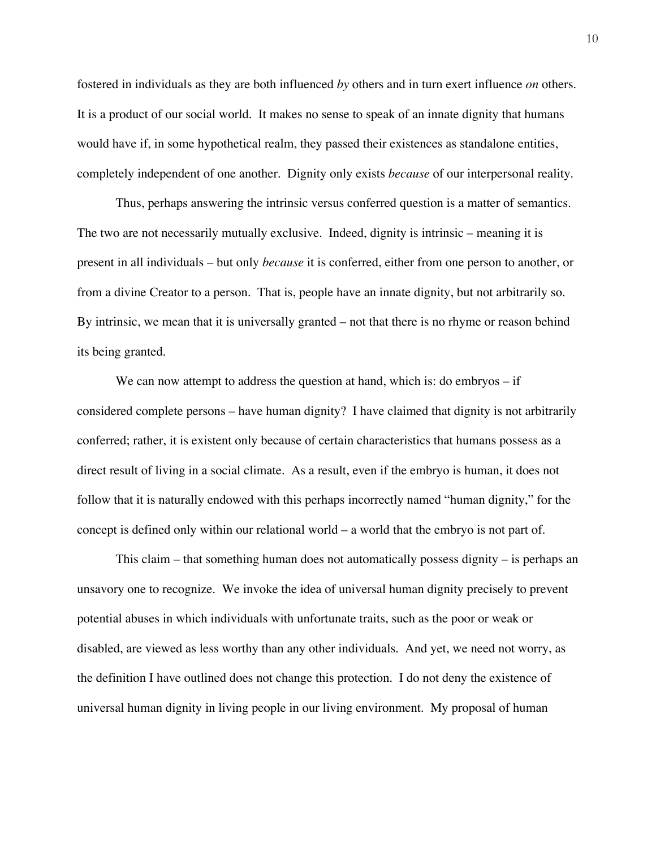fostered in individuals as they are both influenced *by* others and in turn exert influence *on* others. It is a product of our social world. It makes no sense to speak of an innate dignity that humans would have if, in some hypothetical realm, they passed their existences as standalone entities, completely independent of one another. Dignity only exists *because* of our interpersonal reality.

Thus, perhaps answering the intrinsic versus conferred question is a matter of semantics. The two are not necessarily mutually exclusive. Indeed, dignity is intrinsic – meaning it is present in all individuals – but only *because* it is conferred, either from one person to another, or from a divine Creator to a person. That is, people have an innate dignity, but not arbitrarily so. By intrinsic, we mean that it is universally granted – not that there is no rhyme or reason behind its being granted.

We can now attempt to address the question at hand, which is: do embryos – if considered complete persons – have human dignity? I have claimed that dignity is not arbitrarily conferred; rather, it is existent only because of certain characteristics that humans possess as a direct result of living in a social climate. As a result, even if the embryo is human, it does not follow that it is naturally endowed with this perhaps incorrectly named "human dignity," for the concept is defined only within our relational world – a world that the embryo is not part of.

This claim – that something human does not automatically possess dignity – is perhaps an unsavory one to recognize. We invoke the idea of universal human dignity precisely to prevent potential abuses in which individuals with unfortunate traits, such as the poor or weak or disabled, are viewed as less worthy than any other individuals. And yet, we need not worry, as the definition I have outlined does not change this protection. I do not deny the existence of universal human dignity in living people in our living environment. My proposal of human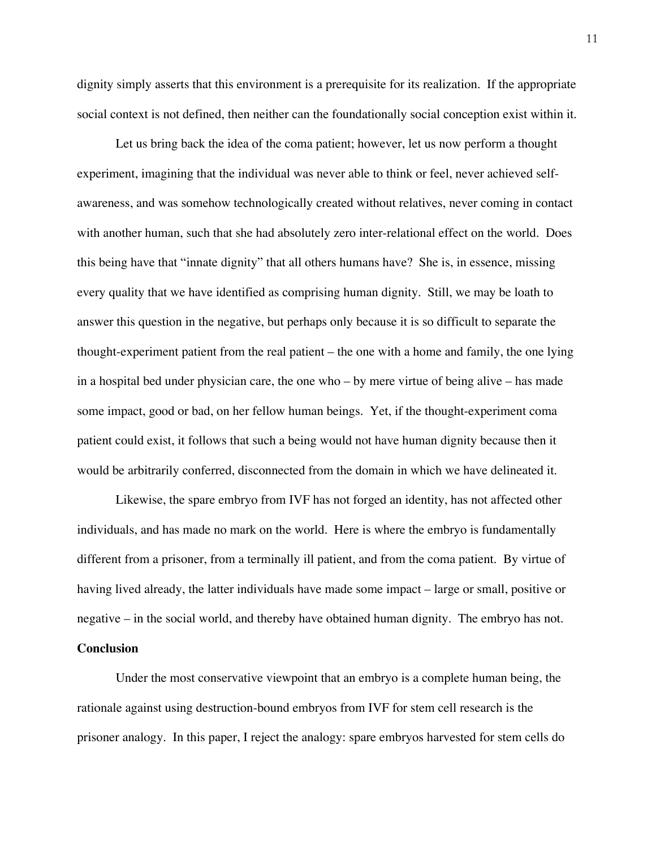dignity simply asserts that this environment is a prerequisite for its realization. If the appropriate social context is not defined, then neither can the foundationally social conception exist within it.

Let us bring back the idea of the coma patient; however, let us now perform a thought experiment, imagining that the individual was never able to think or feel, never achieved selfawareness, and was somehow technologically created without relatives, never coming in contact with another human, such that she had absolutely zero inter-relational effect on the world. Does this being have that "innate dignity" that all others humans have? She is, in essence, missing every quality that we have identified as comprising human dignity. Still, we may be loath to answer this question in the negative, but perhaps only because it is so difficult to separate the thought-experiment patient from the real patient – the one with a home and family, the one lying in a hospital bed under physician care, the one who – by mere virtue of being alive – has made some impact, good or bad, on her fellow human beings. Yet, if the thought-experiment coma patient could exist, it follows that such a being would not have human dignity because then it would be arbitrarily conferred, disconnected from the domain in which we have delineated it.

Likewise, the spare embryo from IVF has not forged an identity, has not affected other individuals, and has made no mark on the world. Here is where the embryo is fundamentally different from a prisoner, from a terminally ill patient, and from the coma patient. By virtue of having lived already, the latter individuals have made some impact – large or small, positive or negative – in the social world, and thereby have obtained human dignity. The embryo has not. **Conclusion**

Under the most conservative viewpoint that an embryo is a complete human being, the rationale against using destruction-bound embryos from IVF for stem cell research is the prisoner analogy. In this paper, I reject the analogy: spare embryos harvested for stem cells do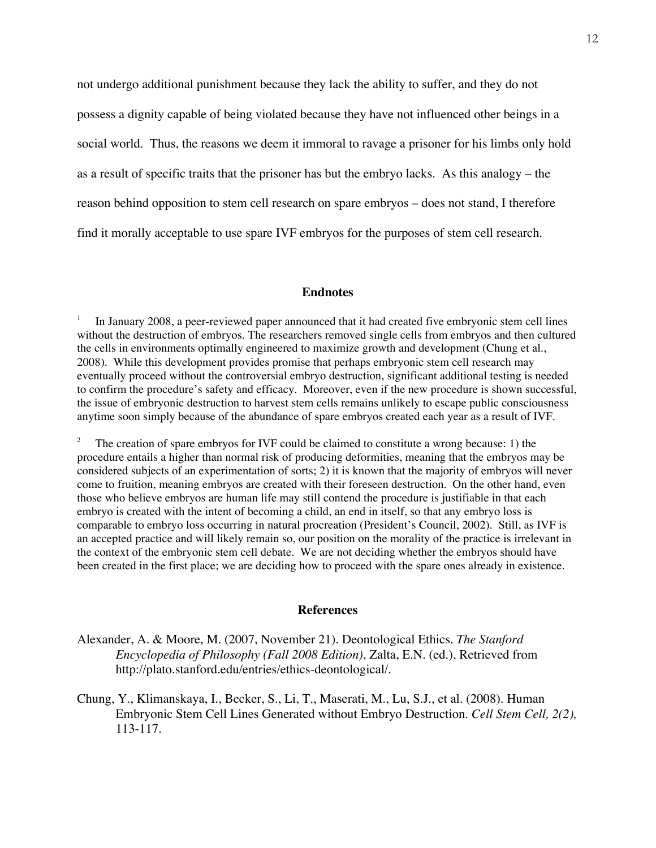not undergo additional punishment because they lack the ability to suffer, and they do not possess a dignity capable of being violated because they have not influenced other beings in a social world. Thus, the reasons we deem it immoral to ravage a prisoner for his limbs only hold as a result of specific traits that the prisoner has but the embryo lacks. As this analogy – the reason behind opposition to stem cell research on spare embryos – does not stand, I therefore find it morally acceptable to use spare IVF embryos for the purposes of stem cell research.

#### **Endnotes**

<sup>1</sup> In January 2008, a peer-reviewed paper announced that it had created five embryonic stem cell lines without the destruction of embryos. The researchers removed single cells from embryos and then cultured the cells in environments optimally engineered to maximize growth and development (Chung et al., 2008). While this development provides promise that perhaps embryonic stem cell research may eventually proceed without the controversial embryo destruction, significant additional testing is needed to confirm the procedure's safety and efficacy. Moreover, even if the new procedure is shown successful, the issue of embryonic destruction to harvest stem cells remains unlikely to escape public consciousness anytime soon simply because of the abundance of spare embryos created each year as a result of IVF.

<sup>2</sup> The creation of spare embryos for IVF could be claimed to constitute a wrong because: 1) the procedure entails a higher than normal risk of producing deformities, meaning that the embryos may be considered subjects of an experimentation of sorts; 2) it is known that the majority of embryos will never come to fruition, meaning embryos are created with their foreseen destruction. On the other hand, even those who believe embryos are human life may still contend the procedure is justifiable in that each embryo is created with the intent of becoming a child, an end in itself, so that any embryo loss is comparable to embryo loss occurring in natural procreation (President's Council, 2002). Still, as IVF is an accepted practice and will likely remain so, our position on the morality of the practice is irrelevant in the context of the embryonic stem cell debate. We are not deciding whether the embryos should have been created in the first place; we are deciding how to proceed with the spare ones already in existence.

#### **References**

Alexander, A. & Moore, M. (2007, November 21). Deontological Ethics. *The Stanford Encyclopedia of Philosophy (Fall 2008 Edition)*, Zalta, E.N. (ed.), Retrieved from http://plato.stanford.edu/entries/ethics-deontological/.

Chung, Y., Klimanskaya, I., Becker, S., Li, T., Maserati, M., Lu, S.J., et al. (2008). Human Embryonic Stem Cell Lines Generated without Embryo Destruction. *Cell Stem Cell, 2(2),* 113-117.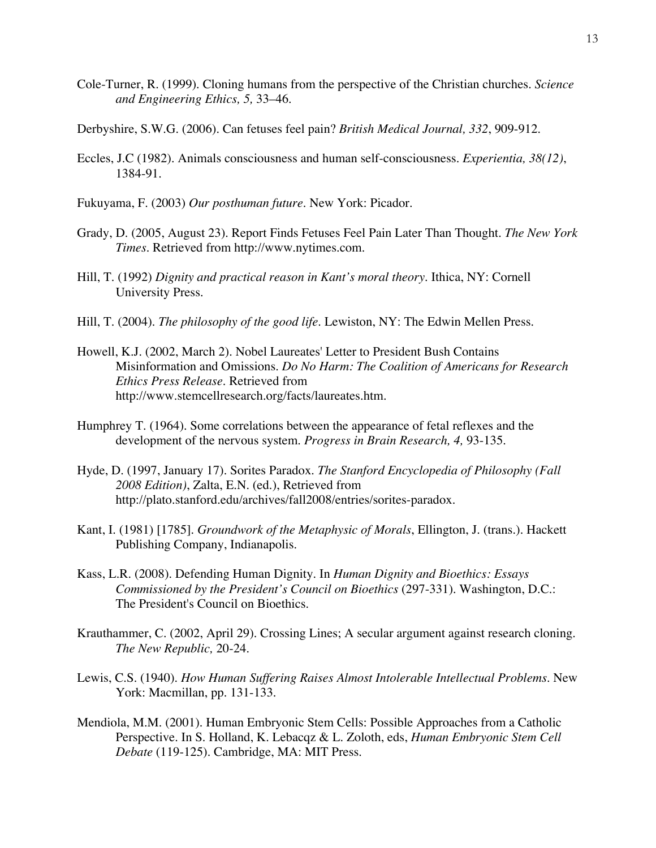- Cole-Turner, R. (1999). Cloning humans from the perspective of the Christian churches. *Science and Engineering Ethics, 5,* 33–46.
- Derbyshire, S.W.G. (2006). Can fetuses feel pain? *British Medical Journal, 332*, 909-912.
- Eccles, J.C (1982). Animals consciousness and human self-consciousness. *Experientia, 38(12)*, 1384-91.
- Fukuyama, F. (2003) *Our posthuman future*. New York: Picador.
- Grady, D. (2005, August 23). Report Finds Fetuses Feel Pain Later Than Thought. *The New York Times*. Retrieved from http://www.nytimes.com.
- Hill, T. (1992) *Dignity and practical reason in Kant's moral theory*. Ithica, NY: Cornell University Press.
- Hill, T. (2004). *The philosophy of the good life*. Lewiston, NY: The Edwin Mellen Press.
- Howell, K.J. (2002, March 2). Nobel Laureates' Letter to President Bush Contains Misinformation and Omissions. *Do No Harm: The Coalition of Americans for Research Ethics Press Release.* Retrieved from http://www.stemcellresearch.org/facts/laureates.htm.
- Humphrey T. (1964). Some correlations between the appearance of fetal reflexes and the development of the nervous system. *Progress in Brain Research, 4,* 93-135.
- Hyde, D. (1997, January 17). Sorites Paradox. *The Stanford Encyclopedia of Philosophy (Fall 2008 Edition)*, Zalta, E.N. (ed.), Retrieved from http://plato.stanford.edu/archives/fall2008/entries/sorites-paradox.
- Kant, I. (1981) [1785]. *Groundwork of the Metaphysic of Morals*, Ellington, J. (trans.). Hackett Publishing Company, Indianapolis.
- Kass, L.R. (2008). Defending Human Dignity. In *Human Dignity and Bioethics: Essays Commissioned by the President's Council on Bioethics* (297-331). Washington, D.C.: The President's Council on Bioethics.
- Krauthammer, C. (2002, April 29). Crossing Lines; A secular argument against research cloning. *The New Republic,* 20-24.
- Lewis, C.S. (1940). *How Human Suffering Raises Almost Intolerable Intellectual Problems*. New York: Macmillan, pp. 131-133.
- Mendiola, M.M. (2001). Human Embryonic Stem Cells: Possible Approaches from a Catholic Perspective. In S. Holland, K. Lebacqz & L. Zoloth, eds, *Human Embryonic Stem Cell Debate* (119-125). Cambridge, MA: MIT Press.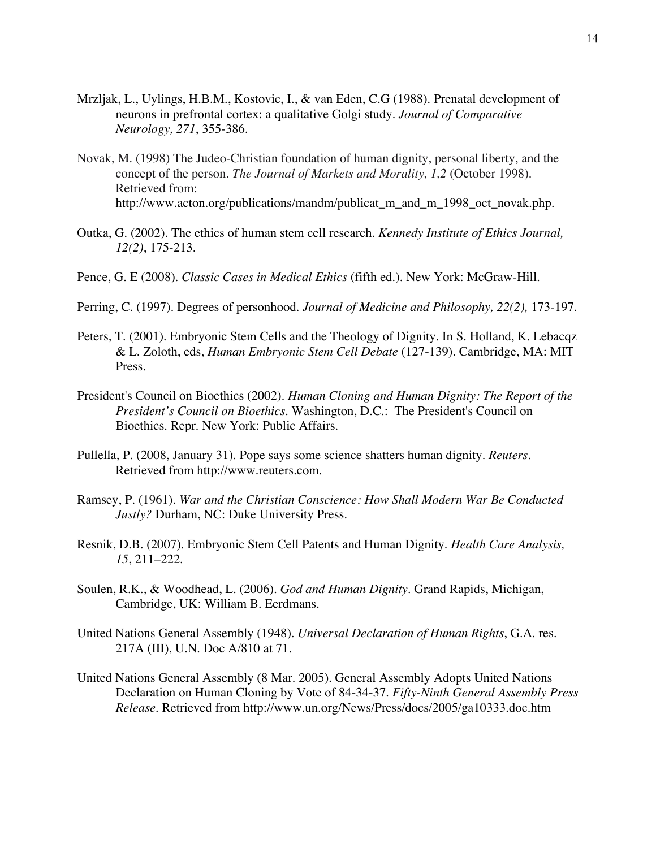- Mrzljak, L., Uylings, H.B.M., Kostovic, I., & van Eden, C.G (1988). Prenatal development of neurons in prefrontal cortex: a qualitative Golgi study. *Journal of Comparative Neurology, 271*, 355-386.
- Novak, M. (1998) The Judeo-Christian foundation of human dignity, personal liberty, and the concept of the person. *The Journal of Markets and Morality, 1,2* (October 1998). Retrieved from: http://www.acton.org/publications/mandm/publicat\_m\_and\_m\_1998\_oct\_novak.php.
- Outka, G. (2002). The ethics of human stem cell research. *Kennedy Institute of Ethics Journal, 12(2)*, 175-213.
- Pence, G. E (2008). *Classic Cases in Medical Ethics* (fifth ed.). New York: McGraw-Hill.
- Perring, C. (1997). Degrees of personhood. *Journal of Medicine and Philosophy, 22(2),* 173-197.
- Peters, T. (2001). Embryonic Stem Cells and the Theology of Dignity. In S. Holland, K. Lebacqz & L. Zoloth, eds, *Human Embryonic Stem Cell Debate* (127-139). Cambridge, MA: MIT Press.
- President's Council on Bioethics (2002). *Human Cloning and Human Dignity: The Report of the President's Council on Bioethics*. Washington, D.C.: The President's Council on Bioethics. Repr. New York: Public Affairs.
- Pullella, P. (2008, January 31). Pope says some science shatters human dignity. *Reuters.*  Retrieved from http://www.reuters.com.
- Ramsey, P. (1961). *War and the Christian Conscience: How Shall Modern War Be Conducted Justly?* Durham, NC: Duke University Press.
- Resnik, D.B. (2007). Embryonic Stem Cell Patents and Human Dignity. *Health Care Analysis, 15*, 211–222.
- Soulen, R.K., & Woodhead, L. (2006). *God and Human Dignity.* Grand Rapids, Michigan, Cambridge, UK: William B. Eerdmans.
- United Nations General Assembly (1948). *Universal Declaration of Human Rights*, G.A. res. 217A (III), U.N. Doc A/810 at 71.
- United Nations General Assembly (8 Mar. 2005). General Assembly Adopts United Nations Declaration on Human Cloning by Vote of 84-34-37. *Fifty-Ninth General Assembly Press Release*. Retrieved from http://www.un.org/News/Press/docs/2005/ga10333.doc.htm